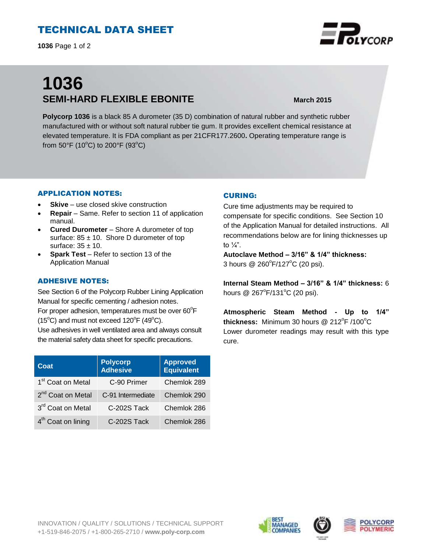# TECHNICAL DATA SHEET

**1036** Page 1 of 2

# **1036 SEMI-HARD FLEXIBLE EBONITE March 2015**

**Polycorp 1036** is a black 85 A durometer (35 D) combination of natural rubber and synthetic rubber manufactured with or without soft natural rubber tie gum. It provides excellent chemical resistance at elevated temperature. It is FDA compliant as per 21CFR177.2600**.** Operating temperature range is from 50°F (10°C) to 200°F (93°C)

## APPLICATION NOTES:

- **Skive** use closed skive construction
- **Repair**  Same. Refer to section 11 of application manual.
- **Cured Durometer**  Shore A durometer of top surface:  $85 \pm 10$ . Shore D durometer of top surface:  $35 \pm 10$ .
- **Spark Test** Refer to section 13 of the Application Manual

## ADHESIVE NOTES:

See Section 6 of the Polycorp Rubber Lining Application Manual for specific cementing / adhesion notes. For proper adhesion, temperatures must be over  $60^{\circ}$ F  $(15^{\circ}C)$  and must not exceed  $120^{\circ}F(49^{\circ}C)$ . Use adhesives in well ventilated area and always consult

the material safety data sheet for specific precautions.

| Coat                           | <b>Polycorp</b><br><b>Adhesive</b> | <b>Approved</b><br>Equivalent |
|--------------------------------|------------------------------------|-------------------------------|
| 1 <sup>st</sup> Coat on Metal  | C-90 Primer                        | Chemlok 289                   |
| 2 <sup>nd</sup> Coat on Metal  | C-91 Intermediate                  | Chemlok 290                   |
| 3rd Coat on Metal              | C-202S Tack                        | Chemlok 286                   |
| 4 <sup>th</sup> Coat on lining | C-202S Tack                        | Chemlok 286                   |

## CURING:

Cure time adjustments may be required to compensate for specific conditions. See Section 10 of the Application Manual for detailed instructions. All recommendations below are for lining thicknesses up to  $\frac{1}{4}$ ".

**Autoclave Method – 3/16" & 1/4" thickness:** 3 hours @ 260°F/127°C (20 psi).

**Internal Steam Method – 3/16" & 1/4" thickness:** 6 hours @ 267°F/131°C (20 psi).

**Atmospheric Steam Method - Up to 1/4"**  thickness: Minimum 30 hours @ 212<sup>°</sup>F /100<sup>°</sup>C Lower durometer readings may result with this type cure.